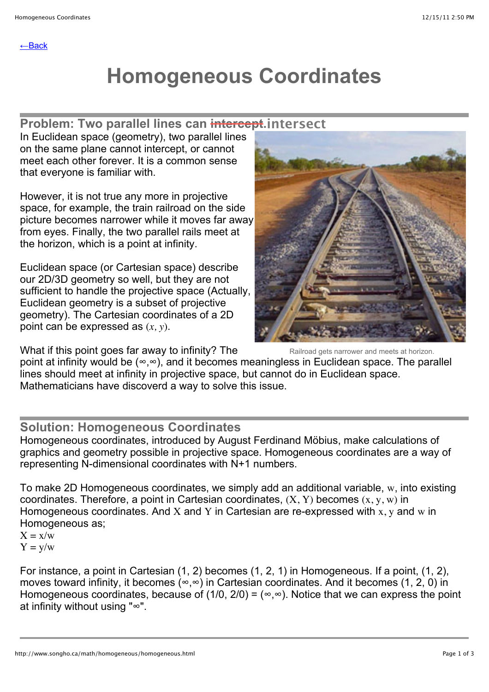# **Homogeneous Coordinates**

# **Problem: Two parallel lines can intercept. intersect**

In Euclidean space (geometry), two parallel lines on the same plane cannot intercept, or cannot meet each other forever. It is a common sense that everyone is familiar with.

However, it is not true any more in projective space, for example, the train railroad on the side picture becomes narrower while it moves far away from eyes. Finally, the two parallel rails meet at the horizon, which is a point at infinity.

Euclidean space (or Cartesian space) describe our 2D/3D geometry so well, but they are not sufficient to handle the projective space (Actually, Euclidean geometry is a subset of projective geometry). The Cartesian coordinates of a 2D point can be expressed as (*x, y*).

What if this point goes far away to infinity? The



Railroad gets narrower and meets at horizon.

point at infinity would be (∞,∞), and it becomes meaningless in Euclidean space. The parallel lines should meet at infinity in projective space, but cannot do in Euclidean space. Mathematicians have discoverd a way to solve this issue.

### **Solution: Homogeneous Coordinates**

Homogeneous coordinates, introduced by August Ferdinand Möbius, make calculations of graphics and geometry possible in projective space. Homogeneous coordinates are a way of representing N-dimensional coordinates with N+1 numbers.

To make 2D Homogeneous coordinates, we simply add an additional variable, w, into existing coordinates. Therefore, a point in Cartesian coordinates,  $(X, Y)$  becomes  $(x, y, w)$  in Homogeneous coordinates. And X and Y in Cartesian are re-expressed with  $x, y$  and  $w$  in Homogeneous as;

 $X = x/w$  $Y = y/w$ 

For instance, a point in Cartesian (1, 2) becomes (1, 2, 1) in Homogeneous. If a point, (1, 2), moves toward infinity, it becomes (∞,∞) in Cartesian coordinates. And it becomes (1, 2, 0) in Homogeneous coordinates, because of (1/0, 2/0) = ( $\infty$ , $\infty$ ). Notice that we can express the point at infinity without using "∞".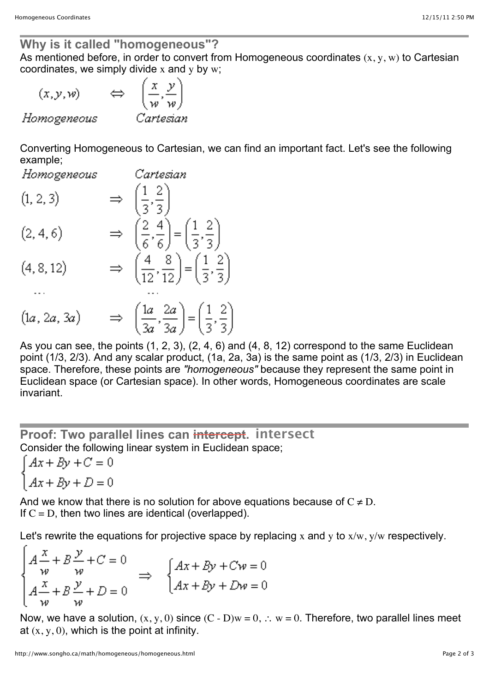#### **Why is it called "homogeneous"?**

As mentioned before, in order to convert from Homogeneous coordinates  $(x, y, w)$  to Cartesian coordinates, we simply divide  $x$  and  $y$  by  $w$ ;

$$
(x, y, w)
$$
  $\Leftrightarrow$   $\left(\frac{x}{w}, \frac{y}{w}\right)$   
Homogeneous Cartesian

Converting Homogeneous to Cartesian, we can find an important fact. Let's see the following example;

Homogeneous Cartesian  $\Rightarrow$   $\left(\frac{1}{3}, \frac{2}{3}\right)$ <br> $\Rightarrow$   $\left(\frac{2}{6}, \frac{4}{6}\right) = \left(\frac{1}{3}, \frac{2}{3}\right)$  $(1, 2, 3)$  $(2, 4, 6)$ 

$$
(4,8,12) \qquad \Rightarrow \quad \left(\frac{4}{12},\frac{8}{12}\right) = \left(\frac{1}{3},\frac{2}{3}\right)
$$

$$
(1a, 2a, 3a) \Rightarrow \left(\frac{1a}{3a}, \frac{2a}{3a}\right) = \left(\frac{1}{3}, \frac{2}{3}\right)
$$

As you can see, the points (1, 2, 3), (2, 4, 6) and (4, 8, 12) correspond to the same Euclidean point (1/3, 2/3). And any scalar product, (1a, 2a, 3a) is the same point as (1/3, 2/3) in Euclidean space. Therefore, these points are *"homogeneous"* because they represent the same point in Euclidean space (or Cartesian space). In other words, Homogeneous coordinates are scale invariant.

# **Proof: Two parallel lines can intercept. intersect**Consider the following linear system in Euclidean space;

 $Ax + By + C = 0$  $Ax + By + D = 0$ 

And we know that there is no solution for above equations because of  $C \neq D$ . If  $C = D$ , then two lines are identical (overlapped).

Let's rewrite the equations for projective space by replacing x and y to  $x/w$ ,  $y/w$  respectively.

$$
\begin{cases}\nA\frac{x}{w} + B\frac{y}{w} + C = 0 \\
A\frac{x}{w} + B\frac{y}{w} + D = 0\n\end{cases} \Rightarrow\n\begin{cases}\nAx + By + Cw = 0 \\
Ax + By + Dw = 0\n\end{cases}
$$

Now, we have a solution,  $(x, y, 0)$  since  $(C - D)w = 0$ ,  $\therefore w = 0$ . Therefore, two parallel lines meet at  $(x, y, 0)$ , which is the point at infinity.